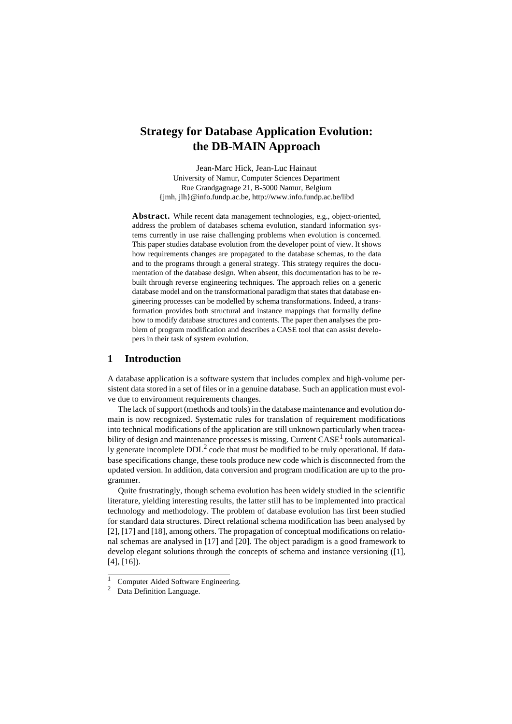# **Strategy for Database Application Evolution: the DB-MAIN Approach**

Jean-Marc Hick, Jean-Luc Hainaut University of Namur, Computer Sciences Department Rue Grandgagnage 21, B-5000 Namur, Belgium {jmh, jlh}@info.fundp.ac.be, http://www.info.fundp.ac.be/libd

**Abstract.** While recent data management technologies, e.g., object-oriented, address the problem of databases schema evolution, standard information systems currently in use raise challenging problems when evolution is concerned. This paper studies database evolution from the developer point of view. It shows how requirements changes are propagated to the database schemas, to the data and to the programs through a general strategy. This strategy requires the documentation of the database design. When absent, this documentation has to be rebuilt through reverse engineering techniques. The approach relies on a generic database model and on the transformational paradigm that states that database engineering processes can be modelled by schema transformations. Indeed, a transformation provides both structural and instance mappings that formally define how to modify database structures and contents. The paper then analyses the problem of program modification and describes a CASE tool that can assist developers in their task of system evolution.

## **1 Introduction**

A database application is a software system that includes complex and high-volume persistent data stored in a set of files or in a genuine database. Such an application must evolve due to environment requirements changes.

The lack of support (methods and tools) in the database maintenance and evolution domain is now recognized. Systematic rules for translation of requirement modifications into technical modifications of the application are still unknown particularly when traceability of design and maintenance processes is missing. Current  $\widehat{CASE}^1$  tools automatically generate incomplete  $DDL<sup>2</sup>$  code that must be modified to be truly operational. If database specifications change, these tools produce new code which is disconnected from the updated version. In addition, data conversion and program modification are up to the programmer.

Quite frustratingly, though schema evolution has been widely studied in the scientific literature, yielding interesting results, the latter still has to be implemented into practical technology and methodology. The problem of database evolution has first been studied for standard data structures. Direct relational schema modification has been analysed by [\[2\], \[17\]](#page-13-0) and [\[18\]](#page-13-0), among others. The propagation of conceptual modifications on relational schemas are analysed in [\[17\]](#page-13-0) and [\[20\].](#page-13-0) The object paradigm is a good framework to develop elegant solutions through the concepts of schema and instance versioning [\(\[1\],](#page-13-0) [\[4\], \[16\]\)](#page-13-0).

<sup>&</sup>lt;sup>1</sup> Computer Aided Software Engineering.<br><sup>2</sup> Data Definition Language

Data Definition Language.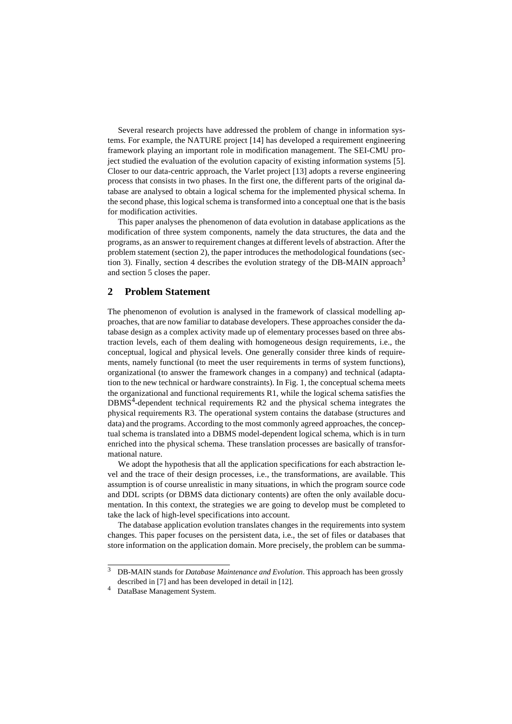Several research projects have addressed the problem of change in information systems. For example, the NATURE project [\[14\]](#page-13-0) has developed a requirement engineering framework playing an important role in modification management. The SEI-CMU project studied the evaluation of the evolution capacity of existing information systems [\[5\].](#page-13-0) Closer to our data-centric approach, the Varlet project [\[13\]](#page-13-0) adopts a reverse engineering process that consists in two phases. In the first one, the different parts of the original database are analysed to obtain a logical schema for the implemented physical schema. In the second phase, this logical schema is transformed into a conceptual one that is the basis for modification activities.

This paper analyses the phenomenon of data evolution in database applications as the modification of three system components, namely the data structures, the data and the programs, as an answer to requirement changes at different levels of abstraction. After the problem statement (section 2), the paper introduces the methodological foundations [\(sec](#page-2-0)[tion 3\)](#page-2-0). Finally, [section 4](#page-6-0) describes the evolution strategy of the DB-MAIN approach<sup>3</sup> and [section 5](#page-12-0) closes the paper.

# **2 Problem Statement**

The phenomenon of evolution is analysed in the framework of classical modelling approaches, that are now familiar to database developers. These approaches consider the database design as a complex activity made up of elementary processes based on three abstraction levels, each of them dealing with homogeneous design requirements, i.e., the conceptual, logical and physical levels. One generally consider three kinds of requirements, namely functional (to meet the user requirements in terms of system functions), organizational (to answer the framework changes in a company) and technical (adaptation to the new technical or hardware constraints). In [Fig. 1,](#page-2-0) the conceptual schema meets the organizational and functional requirements R1, while the logical schema satisfies the DBMS<sup>4</sup>-dependent technical requirements R2 and the physical schema integrates the physical requirements R3. The operational system contains the database (structures and data) and the programs. According to the most commonly agreed approaches, the conceptual schema is translated into a DBMS model-dependent logical schema, which is in turn enriched into the physical schema. These translation processes are basically of transformational nature.

We adopt the hypothesis that all the application specifications for each abstraction level and the trace of their design processes, i.e., the transformations, are available. This assumption is of course unrealistic in many situations, in which the program source code and DDL scripts (or DBMS data dictionary contents) are often the only available documentation. In this context, the strategies we are going to develop must be completed to take the lack of high-level specifications into account.

The database application evolution translates changes in the requirements into system changes. This paper focuses on the persistent data, i.e., the set of files or databases that store information on the application domain. More precisely, the problem can be summa-

<sup>3</sup> DB-MAIN stands for *Database Maintenance and Evolution*. This approach has been grossly described in [\[7\]](#page-13-0) and has been developed in detail in [\[12\].](#page-13-0)

<sup>4</sup> DataBase Management System.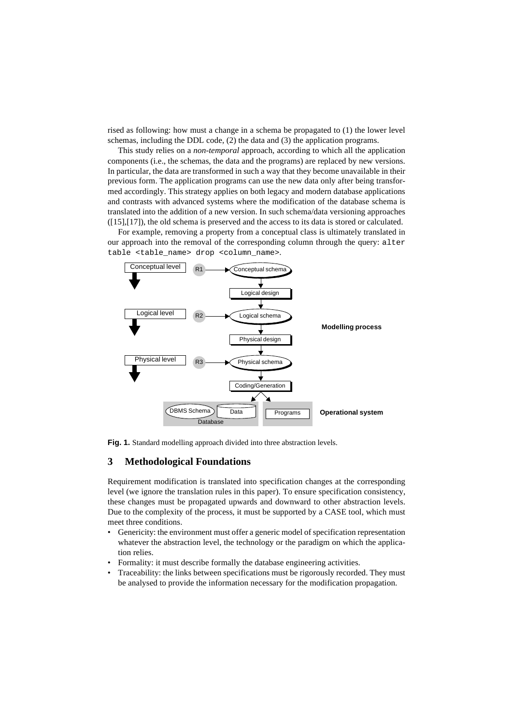<span id="page-2-0"></span>rised as following: how must a change in a schema be propagated to (1) the lower level schemas, including the DDL code, (2) the data and (3) the application programs.

This study relies on a *non-temporal* approach, according to which all the application components (i.e., the schemas, the data and the programs) are replaced by new versions. In particular, the data are transformed in such a way that they become unavailable in their previous form. The application programs can use the new data only after being transformed accordingly. This strategy applies on both legacy and modern database applications and contrasts with advanced systems where the modification of the database schema is translated into the addition of a new version. In such schema/data versioning approaches [\(\[15\],\[17\]\)](#page-13-0), the old schema is preserved and the access to its data is stored or calculated.

For example, removing a property from a conceptual class is ultimately translated in our approach into the removal of the corresponding column through the query: alter table <table\_name> drop <column\_name>.



Fig. 1. Standard modelling approach divided into three abstraction levels.

# **3 Methodological Foundations**

Requirement modification is translated into specification changes at the corresponding level (we ignore the translation rules in this paper). To ensure specification consistency, these changes must be propagated upwards and downward to other abstraction levels. Due to the complexity of the process, it must be supported by a CASE tool, which must meet three conditions.

- Genericity: the environment must offer a generic model of specification representation whatever the abstraction level, the technology or the paradigm on which the application relies.
- Formality: it must describe formally the database engineering activities.
- Traceability: the links between specifications must be rigorously recorded. They must be analysed to provide the information necessary for the modification propagation.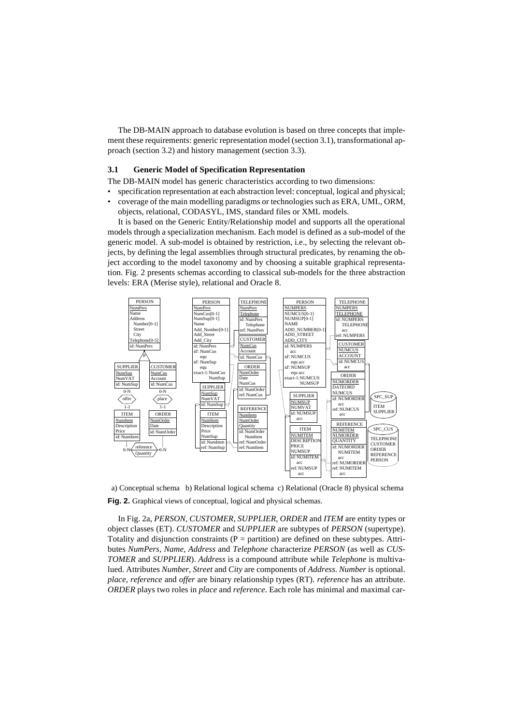<span id="page-3-0"></span>The DB-MAIN approach to database evolution is based on three concepts that implement these requirements: generic representation model (section 3.1), transformational approach [\(section 3.2](#page-4-0)) and history management [\(section 3.3](#page-5-0)).

### **3.1 Generic Model of Specification Representation**

The DB-MAIN model has generic characteristics according to two dimensions:

- specification representation at each abstraction level: conceptual, logical and physical;
- coverage of the main modelling paradigms or technologies such as ERA, UML, ORM, objects, relational, CODASYL, IMS, standard files or XML models.

It is based on the Generic Entity/Relationship model and supports all the operational models through a specialization mechanism. Each model is defined as a sub-model of the generic model. A sub-model is obtained by restriction, i.e., by selecting the relevant objects, by defining the legal assemblies through structural predicates, by renaming the object according to the model taxonomy and by choosing a suitable graphical representation. Fig. 2 presents schemas according to classical sub-models for the three abstraction levels: ERA (Merise style), relational and Oracle 8.



Fig. 2. Graphical views of conceptual, logical and physical schemas. a) Conceptual schema b) Relational logical schema c) Relational (Oracle 8) physical schema

In Fig. 2a, *PERSON, CUSTOMER*, *SUPPLIER, ORDER* and *ITEM* are entity types or object classes (ET). *CUSTOMER* and *SUPPLIER* are subtypes of *PERSON* (supertype). Totality and disjunction constraints  $(P =$  partition) are defined on these subtypes. Attributes *NumPers, Name*, *Address* and *Telephone* characterize *PERSON* (as well as *CUS-TOMER* and *SUPPLIER*). *Address* is a compound attribute while *Telephone* is multivalued. Attributes *Number*, *Street* and *City* are components of *Address*. *Number* is optional. *place, reference* and *offer* are binary relationship types (RT). *reference* has an attribute. *ORDER* plays two roles in *place* and *reference*. Each role has minimal and maximal car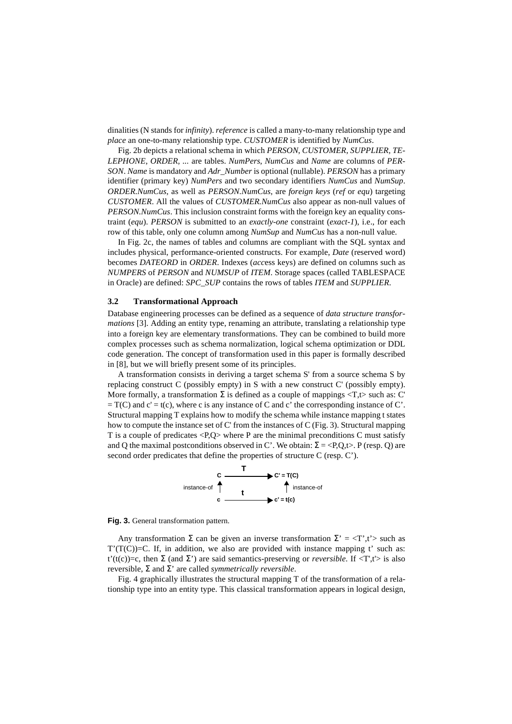<span id="page-4-0"></span>dinalities (N stands for *infinity*). *reference* is called a many-to-many relationship type and *place* an one-to-many relationship type. *CUSTOMER* is identified by *NumCus*.

[Fig. 2b](#page-3-0) depicts a relational schema in which *PERSON*, *CUSTOMER*, *SUPPLIER*, *TE-LEPHONE*, *ORDER, ...* are tables. *NumPers*, *NumCus* and *Name* are columns of *PER-SON*. *Name* is mandatory and *Adr\_Number* is optional (nullable). *PERSON* has a primary identifier (primary key) *NumPers* and two secondary identifiers *NumCus* and *NumSup*. *ORDER.NumCus*, as well as *PERSON.NumCus*, are *foreign keys* (*ref* or *equ*) targeting *CUSTOMER*. All the values of *CUSTOMER.NumCus* also appear as non-null values of *PERSON.NumCus*. This inclusion constraint forms with the foreign key an equality constraint (*equ*). *PERSON* is submitted to an *exactly-one* constraint (*exact-1*), i.e., for each row of this table, only one column among *NumSup* and *NumCus* has a non-null value.

In [Fig. 2c](#page-3-0), the names of tables and columns are compliant with the SQL syntax and includes physical, performance-oriented constructs. For example, *Date* (reserved word) becomes *DATEORD* in *ORDER*. Indexes (*acc*ess keys) are defined on columns such as *NUMPERS* of *PERSON* and *NUMSUP* of *ITEM*. Storage spaces (called TABLESPACE in Oracle) are defined: *SPC\_SUP* contains the rows of tables *ITEM* and *SUPPLIER*.

#### **3.2 Transformational Approach**

Database engineering processes can be defined as a sequence of *data structure transformations* [\[3\]](#page-13-0). Adding an entity type, renaming an attribute, translating a relationship type into a foreign key are elementary transformations. They can be combined to build more complex processes such as schema normalization, logical schema optimization or DDL code generation. The concept of transformation used in this paper is formally described in [\[8\],](#page-13-0) but we will briefly present some of its principles.

A transformation consists in deriving a target schema S' from a source schema S by replacing construct C (possibly empty) in S with a new construct C' (possibly empty). More formally, a transformation  $\Sigma$  is defined as a couple of mappings  $\langle T, t \rangle$  such as: C'  $= T(C)$  and c' = t(c), where c is any instance of C and c' the corresponding instance of C'. Structural mapping T explains how to modify the schema while instance mapping t states how to compute the instance set of C' from the instances of C (Fig. 3). Structural mapping T is a couple of predicates  $\langle P,Q \rangle$  where P are the minimal preconditions C must satisfy and Q the maximal postconditions observed in C'. We obtain:  $\Sigma = \langle P, Q, t \rangle$ . P (resp. Q) are second order predicates that define the properties of structure C (resp. C').



**Fig. 3.** General transformation pattern.

Any transformation  $\Sigma$  can be given an inverse transformation  $\Sigma' = \langle T', t' \rangle$  such as  $T'(T(C))=C$ . If, in addition, we also are provided with instance mapping t' such as: t'(t(c))=c, then Σ (and Σ') are said semantics-preserving or *reversible*. If  $\langle T, t \rangle$  is also reversible, Σ and Σ' are called *symmetrically reversible*.

[Fig. 4](#page-5-0) graphically illustrates the structural mapping T of the transformation of a relationship type into an entity type. This classical transformation appears in logical design,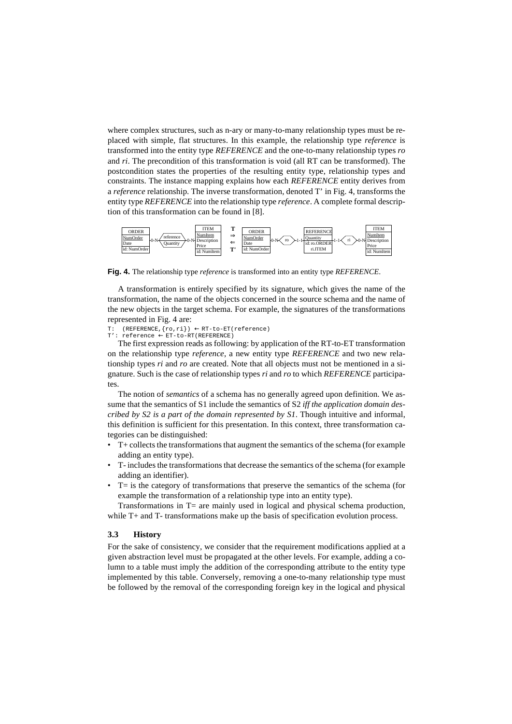<span id="page-5-0"></span>where complex structures, such as n-ary or many-to-many relationship types must be replaced with simple, flat structures. In this example, the relationship type *reference* is transformed into the entity type *REFERENCE* and the one-to-many relationship types *ro* and *ri*. The precondition of this transformation is void (all RT can be transformed). The postcondition states the properties of the resulting entity type, relationship types and constraints. The instance mapping explains how each *REFERENCE* entity derives from a *reference* relationship. The inverse transformation, denoted T' in Fig. 4, transforms the entity type *REFERENCE* into the relationship type *reference*. A complete formal description of this transformation can be found in [\[8\].](#page-13-0)



**Fig. 4.** The relationship type *reference* is transformed into an entity type *REFERENCE*.

A transformation is entirely specified by its signature, which gives the name of the transformation, the name of the objects concerned in the source schema and the name of the new objects in the target schema. For example, the signatures of the transformations represented in Fig. 4 are:

```
T: (REFERENCE, \{ro, ri\}) \leftarrow RT-to-ET(reference)<br>T': reference \leftarrow FT-to-n/(n-r-r-r-r-r)
```

```
r: reference \leftarrow ET-to-RT(REFERENCE)
```
The first expression reads as following: by application of the RT-to-ET transformation on the relationship type *reference*, a new entity type *REFERENCE* and two new relationship types *ri* and *ro* are created. Note that all objects must not be mentioned in a signature. Such is the case of relationship types *ri* and *ro* to which *REFERENCE* participates.

The notion of *semantics* of a schema has no generally agreed upon definition. We assume that the semantics of S1 include the semantics of S2 *iff the application domain described by S2 is a part of the domain represented by S1*. Though intuitive and informal, this definition is sufficient for this presentation. In this context, three transformation categories can be distinguished:

- T+ collects the transformations that augment the semantics of the schema (for example adding an entity type).
- T- includes the transformations that decrease the semantics of the schema (for example adding an identifier).
- $T =$  is the category of transformations that preserve the semantics of the schema (for example the transformation of a relationship type into an entity type).

Transformations in T= are mainly used in logical and physical schema production, while T+ and T- transformations make up the basis of specification evolution process.

## **3.3 History**

For the sake of consistency, we consider that the requirement modifications applied at a given abstraction level must be propagated at the other levels. For example, adding a column to a table must imply the addition of the corresponding attribute to the entity type implemented by this table. Conversely, removing a one-to-many relationship type must be followed by the removal of the corresponding foreign key in the logical and physical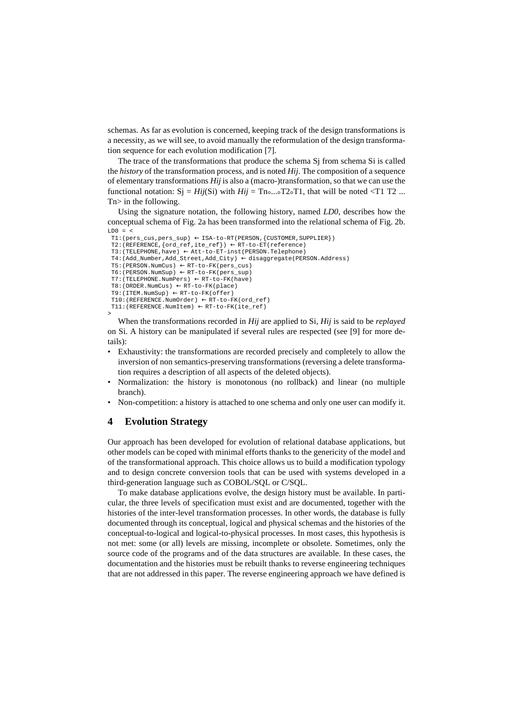<span id="page-6-0"></span>schemas. As far as evolution is concerned, keeping track of the design transformations is a necessity, as we will see, to avoid manually the reformulation of the design transformation sequence for each evolution modification [\[7\].](#page-13-0)

The trace of the transformations that produce the schema Sj from schema Si is called the *history* of the transformation process, and is noted *Hij*. The composition of a sequence of elementary transformations *Hij* is also a (macro-)transformation, so that we can use the functional notation: Sj = *Hij*(Si) with *Hij* = Tn.....T2. T1, that will be noted <T1 T2 ... Tn> in the following.

Using the signature notation, the following history, named *LD0*, describes how the conceptual schema of [Fig. 2a](#page-3-0) has been transformed into the relational schema of [Fig. 2b](#page-3-0).  $LDO = <$ 

```
 T1:(pers_cus,pers_sup) ← ISA-to-RT(PERSON,{CUSTOMER,SUPPLIER})
T2:(REFERENCE, \{ord\_ref,ite\_ref\}) \leftarrow RT-to-ET(reference) T3:(TELEPHONE,have) ← Att-to-ET-inst(PERSON.Telephone)
 T4:(Add_Number,Add_Street,Add_City) ← disaggregate(PERSON.Address)
 T5:(PERSON.NumCus) ← RT-to-FK(pers_cus)
 T6:(PERSON.NumSup) ← RT-to-FK(pers_sup)
 T7:(TELEPHONE.NumPers) ← RT-to-FK(have)
 T8:(ORDER.NumCus) ← RT-to-FK(place)
 T9:(ITEM.NumSup) ← RT-to-FK(offer)
 T10:(REFERENCE.NumOrder) ← RT-to-FK(ord_ref)
T11:(REFERENCE.NumItem) \leftarrow RT-to-FK(iiteref)>
```
When the transformations recorded in *Hij* are applied to Si, *Hij* is said to be *replayed* on Si. A history can be manipulated if several rules are respected (see [\[9\]](#page-13-0) for more details):

- Exhaustivity: the transformations are recorded precisely and completely to allow the inversion of non semantics-preserving transformations (reversing a delete transformation requires a description of all aspects of the deleted objects).
- Normalization: the history is monotonous (no rollback) and linear (no multiple branch).
- Non-competition: a history is attached to one schema and only one user can modify it.

# **4 Evolution Strategy**

Our approach has been developed for evolution of relational database applications, but other models can be coped with minimal efforts thanks to the genericity of the model and of the transformational approach. This choice allows us to build a modification typology and to design concrete conversion tools that can be used with systems developed in a third-generation language such as COBOL/SQL or C/SQL.

To make database applications evolve, the design history must be available. In particular, the three levels of specification must exist and are documented, together with the histories of the inter-level transformation processes. In other words, the database is fully documented through its conceptual, logical and physical schemas and the histories of the conceptual-to-logical and logical-to-physical processes. In most cases, this hypothesis is not met: some (or all) levels are missing, incomplete or obsolete. Sometimes, only the source code of the programs and of the data structures are available. In these cases, the documentation and the histories must be rebuilt thanks to reverse engineering techniques that are not addressed in this paper. The reverse engineering approach we have defined is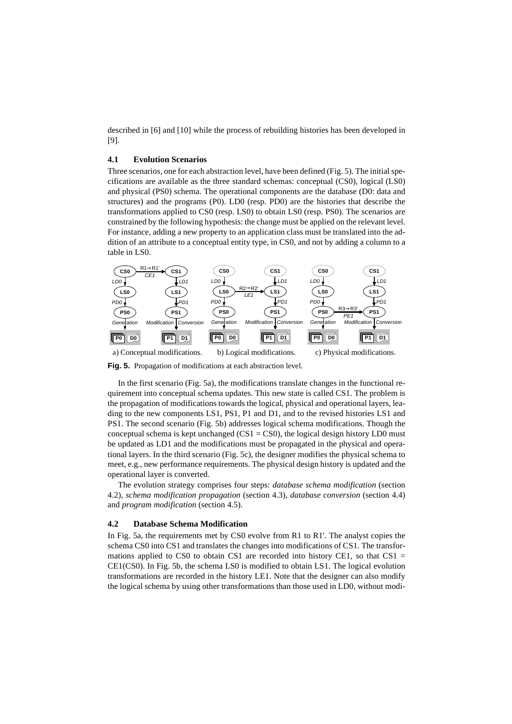<span id="page-7-0"></span>described in [\[6\]](#page-13-0) and [\[10\]](#page-13-0) while the process of rebuilding histories has been developed in [9].

#### **4.1 Evolution Scenarios**

Three scenarios, one for each abstraction level, have been defined (Fig. 5). The initial specifications are available as the three standard schemas: conceptual (CS0), logical (LS0) and physical (PS0) schema. The operational components are the database (D0: data and structures) and the programs (P0). LD0 (resp. PD0) are the histories that describe the transformations applied to CS0 (resp. LS0) to obtain LS0 (resp. PS0). The scenarios are constrained by the following hypothesis: the change must be applied on the relevant level. For instance, adding a new property to an application class must be translated into the addition of an attribute to a conceptual entity type, in CS0, and not by adding a column to a table in LS0.



**Fig. 5.** Propagation of modifications at each abstraction level.

In the first scenario (Fig. 5a), the modifications translate changes in the functional requirement into conceptual schema updates. This new state is called CS1. The problem is the propagation of modifications towards the logical, physical and operational layers, leading to the new components LS1, PS1, P1 and D1, and to the revised histories LS1 and PS1. The second scenario (Fig. 5b) addresses logical schema modifications. Though the conceptual schema is kept unchanged (CS1 = CS0), the logical design history LD0 must be updated as LD1 and the modifications must be propagated in the physical and operational layers. In the third scenario (Fig. 5c), the designer modifies the physical schema to meet, e.g., new performance requirements. The physical design history is updated and the operational layer is converted.

The evolution strategy comprises four steps: *database schema modification* (section 4.2), *schema modification propagation* ([section 4.3\)](#page-8-0), *database conversion* ([section 4.4\)](#page-9-0) and *program modification* ([section 4.5](#page-11-0)).

#### **4.2 Database Schema Modification**

In Fig. 5a, the requirements met by CS0 evolve from R1 to R1'. The analyst copies the schema CS0 into CS1 and translates the changes into modifications of CS1. The transformations applied to CS0 to obtain CS1 are recorded into history CE1, so that CS1 = CE1(CS0). In Fig. 5b, the schema LS0 is modified to obtain LS1. The logical evolution transformations are recorded in the history LE1. Note that the designer can also modify the logical schema by using other transformations than those used in LD0, without modi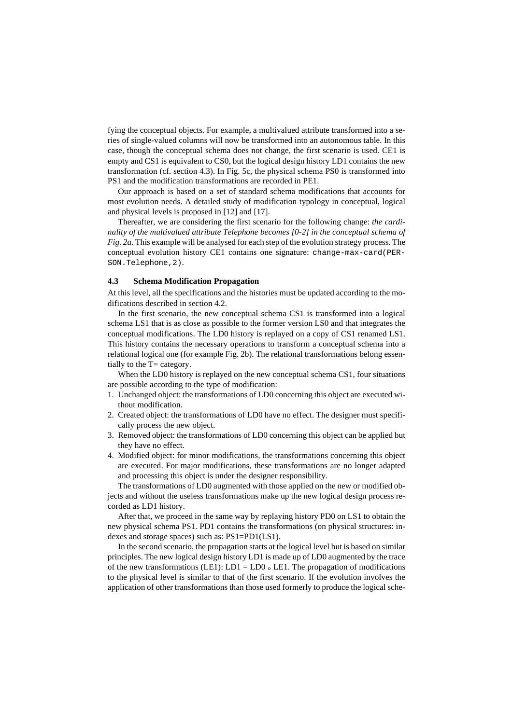<span id="page-8-0"></span>fying the conceptual objects. For example, a multivalued attribute transformed into a series of single-valued columns will now be transformed into an autonomous table. In this case, though the conceptual schema does not change, the first scenario is used. CE1 is empty and CS1 is equivalent to CS0, but the logical design history LD1 contains the new transformation (cf. section 4.3). In [Fig. 5c](#page-7-0), the physical schema PS0 is transformed into PS1 and the modification transformations are recorded in PE1.

Our approach is based on a set of standard schema modifications that accounts for most evolution needs. A detailed study of modification typology in conceptual, logical and physical levels is proposed in [\[12\]](#page-13-0) and [\[17\]](#page-13-0).

Thereafter, we are considering the first scenario for the following change: *the cardinality of the multivalued attribute Telephone becomes [0-2] in the conceptual schema of [Fig. 2a](#page-3-0)*. This example will be analysed for each step of the evolution strategy process. The conceptual evolution history CE1 contains one signature: change-max-card(PER-SON.Telephone,2).

#### **4.3 Schema Modification Propagation**

At this level, all the specifications and the histories must be updated according to the modifications described in [section 4.2.](#page-7-0)

In the first scenario, the new conceptual schema CS1 is transformed into a logical schema LS1 that is as close as possible to the former version LS0 and that integrates the conceptual modifications. The LD0 history is replayed on a copy of CS1 renamed LS1. This history contains the necessary operations to transform a conceptual schema into a relational logical one (for example [Fig. 2](#page-3-0)b). The relational transformations belong essentially to the T= category.

When the LD0 history is replayed on the new conceptual schema CS1, four situations are possible according to the type of modification:

- 1. Unchanged object: the transformations of LD0 concerning this object are executed without modification.
- 2. Created object: the transformations of LD0 have no effect. The designer must specifically process the new object.
- 3. Removed object: the transformations of LD0 concerning this object can be applied but they have no effect.
- 4. Modified object: for minor modifications, the transformations concerning this object are executed. For major modifications, these transformations are no longer adapted and processing this object is under the designer responsibility.

The transformations of LD0 augmented with those applied on the new or modified objects and without the useless transformations make up the new logical design process recorded as LD1 history.

After that, we proceed in the same way by replaying history PD0 on LS1 to obtain the new physical schema PS1. PD1 contains the transformations (on physical structures: indexes and storage spaces) such as: PS1=PD1(LS1).

In the second scenario, the propagation starts at the logical level but is based on similar principles. The new logical design history LD1 is made up of LD0 augmented by the trace of the new transformations (LE1): LD1 = LD0  $\circ$  LE1. The propagation of modifications to the physical level is similar to that of the first scenario. If the evolution involves the application of other transformations than those used formerly to produce the logical sche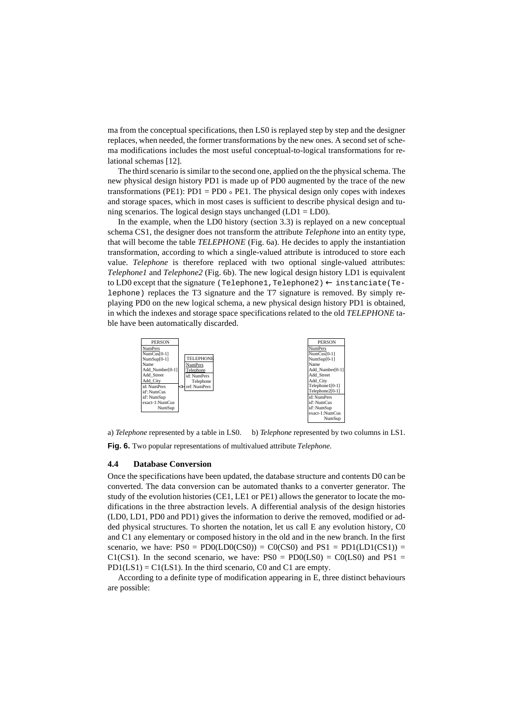<span id="page-9-0"></span>ma from the conceptual specifications, then LS0 is replayed step by step and the designer replaces, when needed, the former transformations by the new ones. A second set of schema modifications includes the most useful conceptual-to-logical transformations for relational schemas [\[12\].](#page-13-0)

The third scenario is similar to the second one, applied on the the physical schema. The new physical design history PD1 is made up of PD0 augmented by the trace of the new transformations (PE1): PD1 = PD0  $\circ$  PE1. The physical design only copes with indexes and storage spaces, which in most cases is sufficient to describe physical design and tuning scenarios. The logical design stays unchanged  $(LD1 = LD0)$ .

In the example, when the LD0 history [\(section 3.3](#page-5-0)) is replayed on a new conceptual schema CS1, the designer does not transform the attribute *Telephone* into an entity type, that will become the table *TELEPHONE* (Fig. 6a). He decides to apply the instantiation transformation, according to which a single-valued attribute is introduced to store each value. *Telephone* is therefore replaced with two optional single-valued attributes: *Telephone1* and *Telephone2* (Fig. 6b). The new logical design history LD1 is equivalent to LD0 except that the signature (Telephone1,Telephone2)  $\leftarrow$  instanciate(Telephone) replaces the T3 signature and the T7 signature is removed. By simply replaying PD0 on the new logical schema, a new physical design history PD1 is obtained, in which the indexes and storage space specifications related to the old *TELEPHONE* table have been automatically discarded.



**Fig. 6.** Two popular representations of multivalued attribute *Telephone*. a) *Telephone* represented by a table in LS0. b) *Telephone* represented by two columns in LS1.

#### **4.4 Database Conversion**

Once the specifications have been updated, the database structure and contents D0 can be converted. The data conversion can be automated thanks to a converter generator. The study of the evolution histories (CE1, LE1 or PE1) allows the generator to locate the modifications in the three abstraction levels. A differential analysis of the design histories (LD0, LD1, PD0 and PD1) gives the information to derive the removed, modified or added physical structures. To shorten the notation, let us call E any evolution history, C0 and C1 any elementary or composed history in the old and in the new branch. In the first scenario, we have:  $PS0 = PD(LD(CS0)) = CO(CS0)$  and  $PS1 = PD1(LD1(CS1)) =$ C1(CS1). In the second scenario, we have:  $PS0 = PD(LS0) = CO(LSO)$  and  $PS1 =$  $PD1(LS1) = C1(LS1)$ . In the third scenario, C0 and C1 are empty.

According to a definite type of modification appearing in E, three distinct behaviours are possible: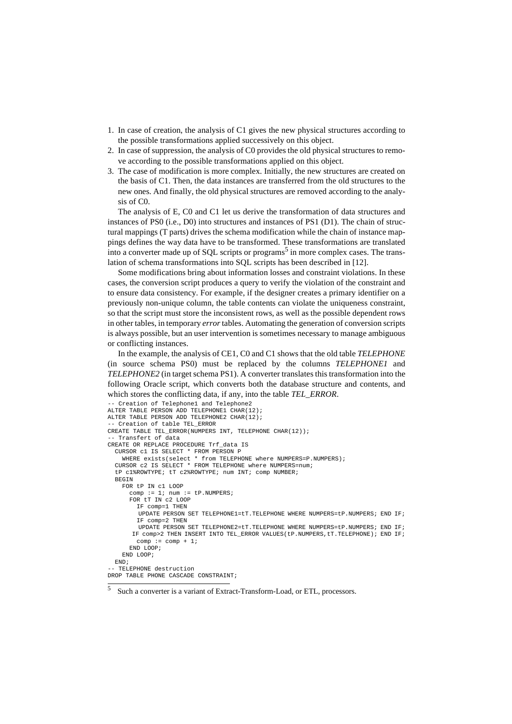- 1. In case of creation, the analysis of C1 gives the new physical structures according to the possible transformations applied successively on this object.
- 2. In case of suppression, the analysis of C0 provides the old physical structures to remove according to the possible transformations applied on this object.
- 3. The case of modification is more complex. Initially, the new structures are created on the basis of C1. Then, the data instances are transferred from the old structures to the new ones. And finally, the old physical structures are removed according to the analysis of C0.

The analysis of E, C0 and C1 let us derive the transformation of data structures and instances of PS0 (i.e., D0) into structures and instances of PS1 (D1). The chain of structural mappings (T parts) drives the schema modification while the chain of instance mappings defines the way data have to be transformed. These transformations are translated  $\frac{1}{2}$  into a converter made up of SQL scripts or programs<sup>5</sup> in more complex cases. The translation of schema transformations into SQL scripts has been described in [\[12\].](#page-13-0)

Some modifications bring about information losses and constraint violations. In these cases, the conversion script produces a query to verify the violation of the constraint and to ensure data consistency. For example, if the designer creates a primary identifier on a previously non-unique column, the table contents can violate the uniqueness constraint, so that the script must store the inconsistent rows, as well as the possible dependent rows in other tables, in temporary *error* tables. Automating the generation of conversion scripts is always possible, but an user intervention is sometimes necessary to manage ambiguous or conflicting instances.

In the example, the analysis of CE1, C0 and C1 shows that the old table *TELEPHONE* (in source schema PS0) must be replaced by the columns *TELEPHONE1* and *TELEPHONE2* (in target schema PS1). A converter translates this transformation into the following Oracle script, which converts both the database structure and contents, and which stores the conflicting data, if any, into the table *TEL\_ERROR*.

```
-- Creation of Telephone1 and Telephone2
ALTER TABLE PERSON ADD TELEPHONE1 CHAR(12);
ALTER TABLE PERSON ADD TELEPHONE2 CHAR(12);
  Creation of table TEL ERROR
CREATE TABLE TEL_ERROR(NUMPERS INT, TELEPHONE CHAR(12));
-- Transfert of data
CREATE OR REPLACE PROCEDURE Trf_data IS
   CURSOR c1 IS SELECT * FROM PERSON P
   WHERE exists(select * from TELEPHONE where NUMPERS=P.NUMPERS);
   CURSOR c2 IS SELECT * FROM TELEPHONE where NUMPERS=num;
   tP c1%ROWTYPE; tT c2%ROWTYPE; num INT; comp NUMBER;
   BEGIN
     FOR tP IN c1 LOOP
      comp := 1; num := tp. NUMPERS; FOR tT IN c2 LOOP
         IF comp=1 THEN
         UPDATE PERSON SET TELEPHONE1=tT.TELEPHONE WHERE NUMPERS=tP.NUMPERS; END IF;
         IF comp=2 THEN
         UPDATE PERSON SET TELEPHONE2=tT.TELEPHONE WHERE NUMPERS=tP.NUMPERS; END IF;
       IF comp>2 THEN INSERT INTO TEL_ERROR VALUES(tP.NUMPERS,tT.TELEPHONE); END IF;
 comp := comp + 1;
 END LOOP;
    END LOOP;
   END;
-- TELEPHONE destruction
DROP TABLE PHONE CASCADE CONSTRAINT;
```
#### <sup>5</sup> Such a converter is a variant of Extract-Transform-Load, or ETL, processors.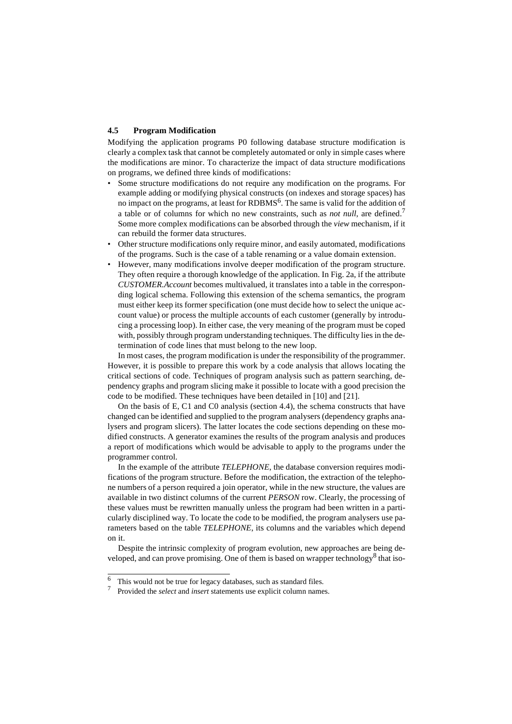#### <span id="page-11-0"></span>**4.5 Program Modification**

Modifying the application programs P0 following database structure modification is clearly a complex task that cannot be completely automated or only in simple cases where the modifications are minor. To characterize the impact of data structure modifications on programs, we defined three kinds of modifications:

- Some structure modifications do not require any modification on the programs. For example adding or modifying physical constructs (on indexes and storage spaces) has no impact on the programs, at least for  $RDBMS<sup>6</sup>$ . The same is valid for the addition of a table or of columns for which no new constraints, such as *not null*, are defined.<sup>7</sup> Some more complex modifications can be absorbed through the *view* mechanism, if it can rebuild the former data structures.
- Other structure modifications only require minor, and easily automated, modifications of the programs. Such is the case of a table renaming or a value domain extension.
- However, many modifications involve deeper modification of the program structure. They often require a thorough knowledge of the application. In [Fig. 2a](#page-3-0), if the attribute *CUSTOMER.Account* becomes multivalued, it translates into a table in the corresponding logical schema. Following this extension of the schema semantics, the program must either keep its former specification (one must decide how to select the unique account value) or process the multiple accounts of each customer (generally by introducing a processing loop). In either case, the very meaning of the program must be coped with, possibly through program understanding techniques. The difficulty lies in the determination of code lines that must belong to the new loop.

In most cases, the program modification is under the responsibility of the programmer. However, it is possible to prepare this work by a code analysis that allows locating the critical sections of code. Techniques of program analysis such as pattern searching, dependency graphs and program slicing make it possible to locate with a good precision the code to be modified. These techniques have been detailed in [\[10\]](#page-13-0) and [\[21\]](#page-13-0).

On the basis of E, C1 and C0 analysis [\(section 4.4](#page-9-0)), the schema constructs that have changed can be identified and supplied to the program analysers (dependency graphs analysers and program slicers). The latter locates the code sections depending on these modified constructs. A generator examines the results of the program analysis and produces a report of modifications which would be advisable to apply to the programs under the programmer control.

In the example of the attribute *TELEPHONE*, the database conversion requires modifications of the program structure. Before the modification, the extraction of the telephone numbers of a person required a join operator, while in the new structure, the values are available in two distinct columns of the current *PERSON* row. Clearly, the processing of these values must be rewritten manually unless the program had been written in a particularly disciplined way. To locate the code to be modified, the program analysers use parameters based on the table *TELEPHONE*, its columns and the variables which depend on it.

Despite the intrinsic complexity of program evolution, new approaches are being developed, and can prove promising. One of them is based on wrapper technology<sup>8</sup> that iso-

<sup>&</sup>lt;sup>6</sup> This would not be true for legacy databases, such as standard files.<br><sup>7</sup> Provided the *select* and insert statements use explicit column name

<sup>7</sup> Provided the *select* and *insert* statements use explicit column names.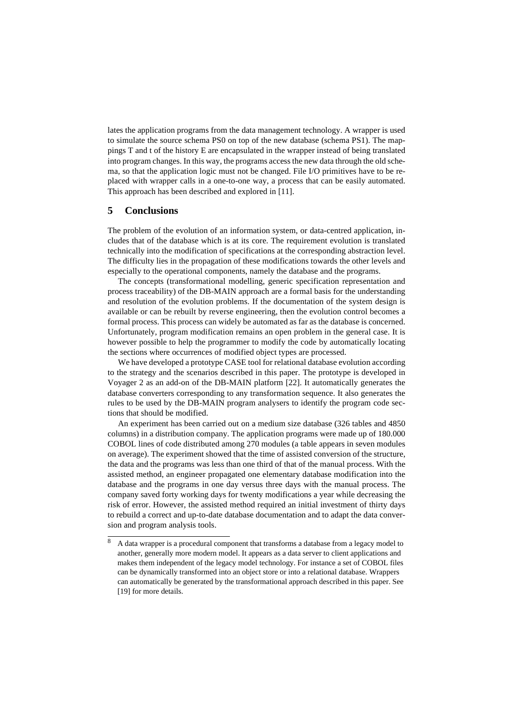<span id="page-12-0"></span>lates the application programs from the data management technology. A wrapper is used to simulate the source schema PS0 on top of the new database (schema PS1). The mappings T and t of the history E are encapsulated in the wrapper instead of being translated into program changes. In this way, the programs access the new data through the old schema, so that the application logic must not be changed. File I/O primitives have to be replaced with wrapper calls in a one-to-one way, a process that can be easily automated. This approach has been described and explored in [\[11\]](#page-13-0).

# **5 Conclusions**

The problem of the evolution of an information system, or data-centred application, includes that of the database which is at its core. The requirement evolution is translated technically into the modification of specifications at the corresponding abstraction level. The difficulty lies in the propagation of these modifications towards the other levels and especially to the operational components, namely the database and the programs.

The concepts (transformational modelling, generic specification representation and process traceability) of the DB-MAIN approach are a formal basis for the understanding and resolution of the evolution problems. If the documentation of the system design is available or can be rebuilt by reverse engineering, then the evolution control becomes a formal process. This process can widely be automated as far as the database is concerned. Unfortunately, program modification remains an open problem in the general case. It is however possible to help the programmer to modify the code by automatically locating the sections where occurrences of modified object types are processed.

We have developed a prototype CASE tool for relational database evolution according to the strategy and the scenarios described in this paper. The prototype is developed in Voyager 2 as an add-on of the DB-MAIN platform [\[22\]](#page-13-0). It automatically generates the database converters corresponding to any transformation sequence. It also generates the rules to be used by the DB-MAIN program analysers to identify the program code sections that should be modified.

An experiment has been carried out on a medium size database (326 tables and 4850 columns) in a distribution company. The application programs were made up of 180.000 COBOL lines of code distributed among 270 modules (a table appears in seven modules on average). The experiment showed that the time of assisted conversion of the structure, the data and the programs was less than one third of that of the manual process. With the assisted method, an engineer propagated one elementary database modification into the database and the programs in one day versus three days with the manual process. The company saved forty working days for twenty modifications a year while decreasing the risk of error. However, the assisted method required an initial investment of thirty days to rebuild a correct and up-to-date database documentation and to adapt the data conversion and program analysis tools.

<sup>&</sup>lt;sup>8</sup> A data wrapper is a procedural component that transforms a database from a legacy model to another, generally more modern model. It appears as a data server to client applications and makes them independent of the legacy model technology. For instance a set of COBOL files can be dynamically transformed into an object store or into a relational database. Wrappers can automatically be generated by the transformational approach described in this paper. See [\[19\]](#page-13-0) for more details.